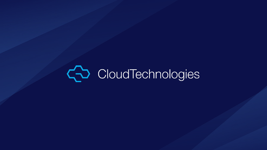# CoudTechnologies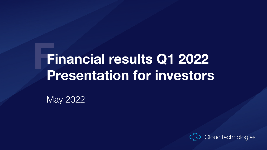# **FFinancial results Q1 2022 Presentation for investors**

May 2022

CloudTechnologies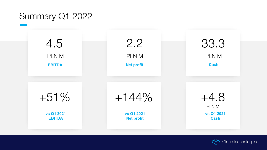#### Summary Q1 2022



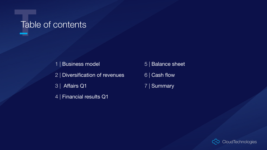## **T**Table of contents

1 | Business model

- 2 | Diversification of revenues
- 3 | Affairs Q1
- 4 | Financial results Q1
- 5 | Balance sheet
- 6 | Cash flow
- 7 | Summary

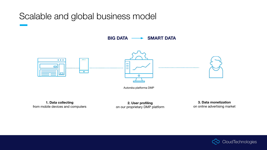#### Scalable and global business model

BIG DATA **- SMART DATA** 



Autorska platforma DMP

**1. Data collecting** from mobile devices and computers

**2. User profiling** on our proprietary DMP platform

**3. Data monetization** on online advertising market

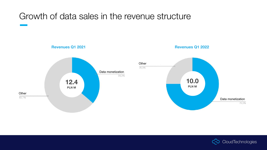#### Growth of data sales in the revenue structure





Data monetization

75,0%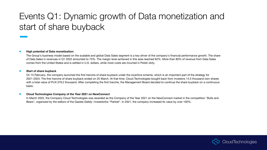### Events Q1: Dynamic growth of Data monetization and start of share buyback

#### **● High potential of Data monetization:**

The Group's business model based on the scalable and global Data Sales segment is a key driver of the company's financial performance growth. The share of Data Sales in revenues in Q1 2022 amounted to 75%. The margin level achieved in this area reached 62%. More than 80% of revenue from Data Sales comes from the United States and is settled in U.S. dollars, while most costs are incurred in Polish zloty.

#### **● Start of share buyback**

On 15 February, the company launched the first tranche of share buyback under the incentive scheme, which is an important part of the strategy for 2021-2023. The first tranche of share buyback ended on 25 March. At that time, Cloud Technologies bought back from investors 14.5 thousand own shares with a total value of PLN 379.2 thousand. After completing the first tranche, the Management Board decided to continue the share buyback on a continuous basis.

#### **● Cloud Technologies Company of the Year 2021 on NewConnect**

In March 2022, the Company Cloud Technologies was awarded as the Company of the Year 2021 on the NewConnect market in the competition "Bulls and Bears", organized by the editors of the Gazeta Giełdy i Inwestorów "Parkiet". In 2021, the company increased its value by over 100%.

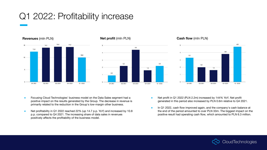### Q1 2022: Profitability increase



#### **Revenues** (mln PLN) **Net profit** (mln PLN) **Cash flow** (mln PLN)





- Focusing Cloud Technologies' business model on the Data Sales segment had a positive impact on the results generated by the Group. The decrease in revenue is primarily related to the reduction in the Group's low-margin other business.
- Net profitability in Q1 2022 reached 22% (up 14.7 p.p. YoY) and increased by 10.8 p.p. compared to Q4 2021. The increasing share of data sales in revenues positively affects the profitability of the business model.
- Net profit in Q1 2022 (PLN 2.2m) increased by 144% YoY. Net profit generated in this period also increased by PLN 0.6m relative to Q4 2021.
- In Q1 2022, cash flow improved again, and the company's cash balance at the end of the period amounted to over PLN 33m. The biggest impact on the positive result had operating cash flow, which amounted to PLN 6.3 million.

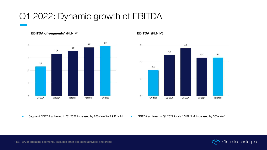### Q1 2022: Dynamic growth of EBITDA

**EBITDA** of segments\* (PLN M) **EBITDA** (PLN M)





● Segment EBITDA achieved in Q1 2022 increased by 70% YoY to 3.9 PLN M.

● EBITDA achieved in Q1 2022 totals 4.5 PLN M (increased by 50% YoY).



\* EBITDA of operating segments, excludes other operating activities and grants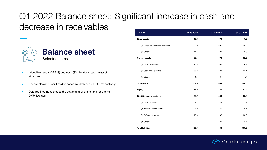## Q1 2022 Balance sheet: Significant increase in cash and decrease in receivables



- Intangible assets (32.5%) and cash (32.1%) dominate the asset structure.
- Receivables and liabilities decreased by 20% and 29.5%, respectively.
- **•** Deferred income relates to the settlement of grants and long-term DMP licenses.

| <b>PLN M</b>                       | 31.03.2022 | 31.12.2021 | 31.03.2021 |
|------------------------------------|------------|------------|------------|
| <b>Fixed assets:</b>               | 45.5       | 47.9       | 47.8       |
| (a) Tangible and intangible assets | 33.8       | 35.3       | 38.8       |
| (b) Others                         | 11.7       | 12.6       | 9.0        |
| <b>Current assets:</b>             | 58.4       | 57.9       | 52.2       |
| (a) Trade receivables              | 20.8       | 26.0       | 26.3       |
| (b) Cash and equivalnets           | 33.3       | 28.5       | 21.1       |
| (c) Others                         | 4.4        | 3.4        | 4.7        |
| <b>Total assets</b>                | 103.9      | 105.9      | 100.0      |
| <b>Equity</b>                      | 78.2       | 75.9       | 67.2       |
| Liabilities and provisions:        | 25.7       | 30.0       | 32.8       |
| (a) Trade payables                 | 1.4        | 2.8        | 3.9        |
| (b) Interest - bearing debt        | 2.9        | 3.3        | 6.7        |
| (c) Deferred incomes               | 18.9       | 20.5       | 20.8       |
| (d) Others                         | 2.5        | 3.4        | 1.4        |
| <b>Total liabilities</b>           | 103.9      | 105.9      | 100.0      |

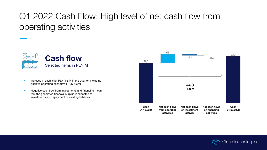### Q1 2022 Cash Flow: High level of net cash flow from operating activities



- Increase in cash is by PLN 4.8 M in the quarter, including positive operating cash flow ( PLN 6.3M)
- Negative cash flow from investments and financing mean that the generated financial surplus is allocated to investments and repayment of existing liabilities.



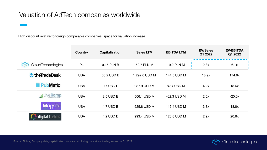#### Valuation of AdTech companies worldwide

High discount relative to foreign comparable companies, space for valuation increase.

|                         | Country    | Capitalization | <b>Sales LTM</b> | <b>EBITDA LTM</b> | <b>EV/Sales</b><br>Q1 2022 | <b>EV/EBITDA</b><br>Q1 2022 |
|-------------------------|------------|----------------|------------------|-------------------|----------------------------|-----------------------------|
| CloudTechnologies<br>55 | PL         | 0.15 PLN B     | 52.7 PLN M       | 19.2 PLN M        | 2.3x                       | 6.1x                        |
| <b>U</b> the Trade Desk | <b>USA</b> | 30.2 USD B     | 1 292.0 USD M    | 144.5 USD M       | 18.9x                      | 174.6x                      |
| Matic                   | <b>USA</b> | $0.7$ USD B    | 237.9 USD M      | 82.4 USD M        | 4.2x                       | 13.6x                       |
| Live <b>Ramp</b><br>Þ.  | <b>USA</b> | 2.5 USD B      | 506.1 USD M      | $-62.3$ USD M     | 2.5x                       | $-20.0x$                    |
| Magnite                 | <b>USA</b> | 1.7 USD B      | 525.8 USD M      | 115.4 USD M       | 3.8x                       | 18.8x                       |
| digital turbine.        | <b>USA</b> | 4.2 USD B      | 993.4 USD M      | 123.8 USD M       | 2.9x                       | 20.6x                       |



Source: Finbox; Company data; capitalization calculated at closing price at last trading session in Q1 2022.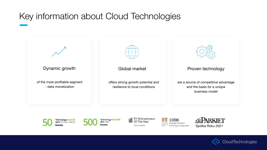### Key information about Cloud Technologies







Of The Year 2015 Finalist

Europe's Fastest